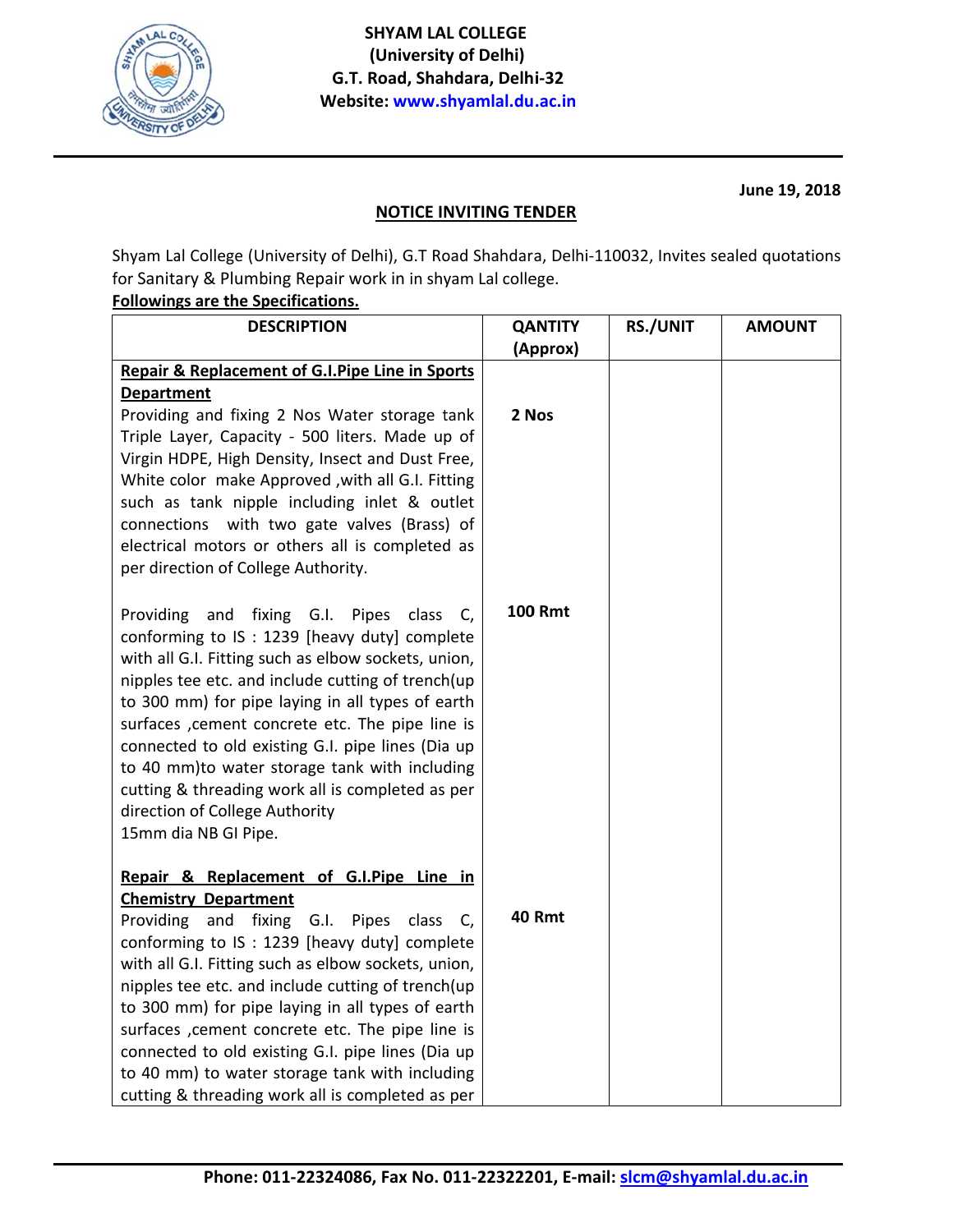

June 19, 2018

## **NOTICE INVITING TENDER**

Shyam Lal College (University of Delhi), G.T Road Shahdara, Delhi-110032, Invites sealed quotations for Sanitary & Plumbing Repair work in in shyam Lal college.

## **Followings are the Specifications.**

| <b>DESCRIPTION</b>                                                                                       | <b>QANTITY</b> | <b>RS./UNIT</b> | <b>AMOUNT</b> |
|----------------------------------------------------------------------------------------------------------|----------------|-----------------|---------------|
|                                                                                                          | (Approx)       |                 |               |
| <b>Repair &amp; Replacement of G.I.Pipe Line in Sports</b>                                               |                |                 |               |
| <b>Department</b>                                                                                        |                |                 |               |
| Providing and fixing 2 Nos Water storage tank                                                            | 2 Nos          |                 |               |
| Triple Layer, Capacity - 500 liters. Made up of                                                          |                |                 |               |
| Virgin HDPE, High Density, Insect and Dust Free,                                                         |                |                 |               |
| White color make Approved , with all G.I. Fitting                                                        |                |                 |               |
| such as tank nipple including inlet & outlet                                                             |                |                 |               |
| connections with two gate valves (Brass) of                                                              |                |                 |               |
| electrical motors or others all is completed as                                                          |                |                 |               |
| per direction of College Authority.                                                                      |                |                 |               |
|                                                                                                          | <b>100 Rmt</b> |                 |               |
| Providing<br>fixing G.I. Pipes<br>and<br>class<br>C,                                                     |                |                 |               |
| conforming to IS : 1239 [heavy duty] complete                                                            |                |                 |               |
| with all G.I. Fitting such as elbow sockets, union,<br>nipples tee etc. and include cutting of trench(up |                |                 |               |
| to 300 mm) for pipe laying in all types of earth                                                         |                |                 |               |
| surfaces , cement concrete etc. The pipe line is                                                         |                |                 |               |
| connected to old existing G.I. pipe lines (Dia up                                                        |                |                 |               |
| to 40 mm)to water storage tank with including                                                            |                |                 |               |
| cutting & threading work all is completed as per                                                         |                |                 |               |
| direction of College Authority                                                                           |                |                 |               |
| 15mm dia NB GI Pipe.                                                                                     |                |                 |               |
|                                                                                                          |                |                 |               |
| Repair & Replacement of G.I.Pipe Line in                                                                 |                |                 |               |
| <b>Chemistry Department</b>                                                                              |                |                 |               |
| Providing<br>and fixing G.I. Pipes class C,                                                              | <b>40 Rmt</b>  |                 |               |
| conforming to IS : 1239 [heavy duty] complete                                                            |                |                 |               |
| with all G.I. Fitting such as elbow sockets, union,                                                      |                |                 |               |
| nipples tee etc. and include cutting of trench(up                                                        |                |                 |               |
| to 300 mm) for pipe laying in all types of earth                                                         |                |                 |               |
| surfaces , cement concrete etc. The pipe line is<br>connected to old existing G.I. pipe lines (Dia up    |                |                 |               |
| to 40 mm) to water storage tank with including                                                           |                |                 |               |
| cutting & threading work all is completed as per                                                         |                |                 |               |
|                                                                                                          |                |                 |               |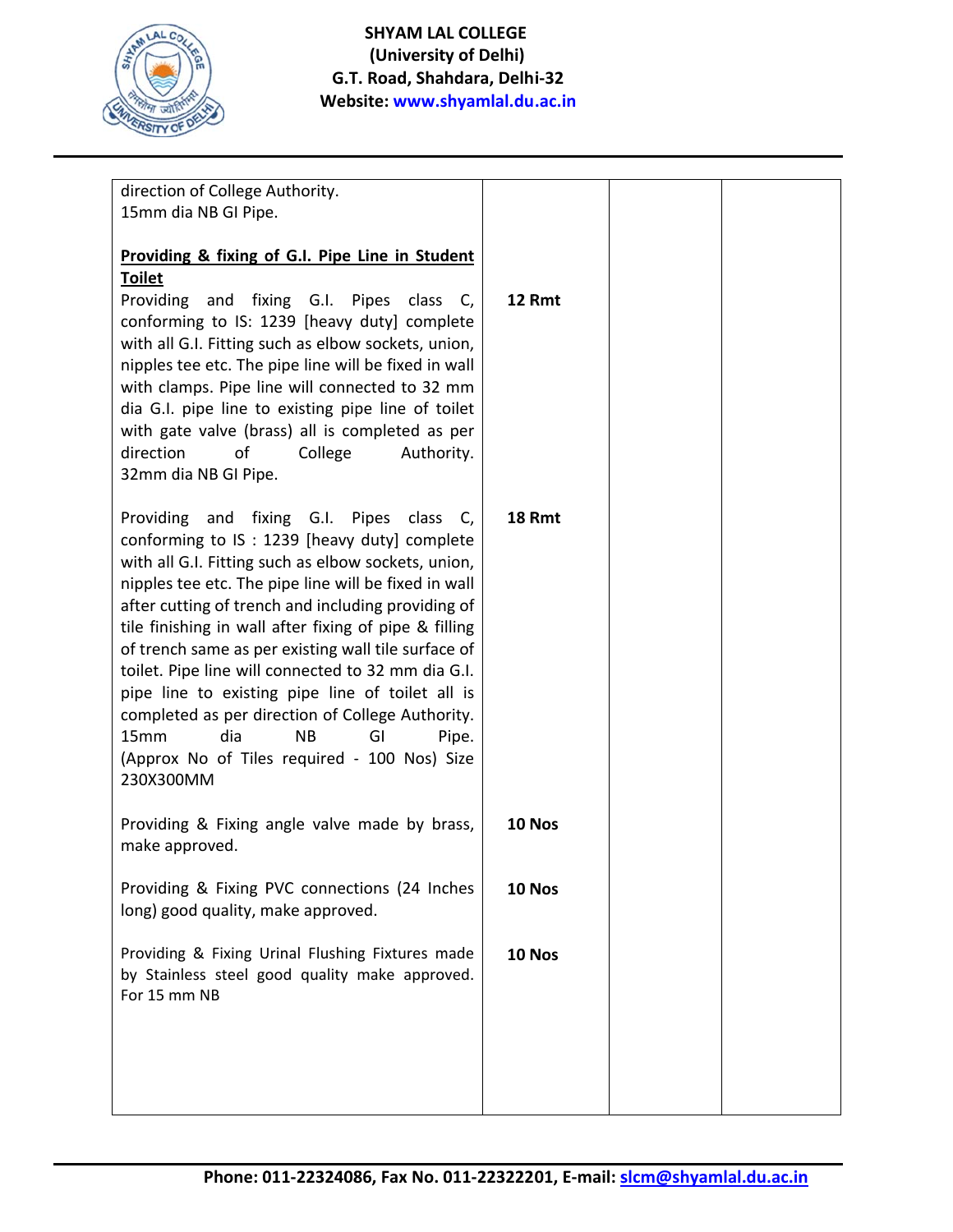

| direction of College Authority.                                                           |               |  |
|-------------------------------------------------------------------------------------------|---------------|--|
| 15mm dia NB GI Pipe.                                                                      |               |  |
|                                                                                           |               |  |
| Providing & fixing of G.I. Pipe Line in Student                                           |               |  |
| <b>Toilet</b>                                                                             |               |  |
| Providing and fixing G.I. Pipes<br>class C,                                               | 12 Rmt        |  |
| conforming to IS: 1239 [heavy duty] complete                                              |               |  |
| with all G.I. Fitting such as elbow sockets, union,                                       |               |  |
| nipples tee etc. The pipe line will be fixed in wall                                      |               |  |
| with clamps. Pipe line will connected to 32 mm                                            |               |  |
| dia G.I. pipe line to existing pipe line of toilet                                        |               |  |
| with gate valve (brass) all is completed as per                                           |               |  |
| direction<br>of<br>College<br>Authority.                                                  |               |  |
| 32mm dia NB GI Pipe.                                                                      |               |  |
|                                                                                           | <b>18 Rmt</b> |  |
| Providing and fixing G.I. Pipes class C,<br>conforming to IS : 1239 [heavy duty] complete |               |  |
| with all G.I. Fitting such as elbow sockets, union,                                       |               |  |
| nipples tee etc. The pipe line will be fixed in wall                                      |               |  |
| after cutting of trench and including providing of                                        |               |  |
| tile finishing in wall after fixing of pipe & filling                                     |               |  |
| of trench same as per existing wall tile surface of                                       |               |  |
| toilet. Pipe line will connected to 32 mm dia G.I.                                        |               |  |
| pipe line to existing pipe line of toilet all is                                          |               |  |
| completed as per direction of College Authority.                                          |               |  |
| dia<br>15mm<br><b>NB</b><br>GI<br>Pipe.                                                   |               |  |
| (Approx No of Tiles required - 100 Nos) Size                                              |               |  |
| 230X300MM                                                                                 |               |  |
|                                                                                           |               |  |
| Providing & Fixing angle valve made by brass,                                             | 10 Nos        |  |
| make approved.                                                                            |               |  |
|                                                                                           |               |  |
| Providing & Fixing PVC connections (24 Inches                                             | 10 Nos        |  |
| long) good quality, make approved.                                                        |               |  |
|                                                                                           |               |  |
| Providing & Fixing Urinal Flushing Fixtures made                                          | 10 Nos        |  |
| by Stainless steel good quality make approved.                                            |               |  |
| For 15 mm NB                                                                              |               |  |
|                                                                                           |               |  |
|                                                                                           |               |  |
|                                                                                           |               |  |
|                                                                                           |               |  |
|                                                                                           |               |  |